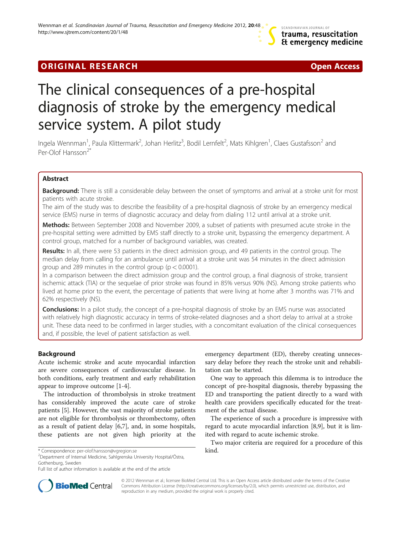# **ORIGINAL RESEARCH CONSUMING A RESEARCH CONSUMING A RESEARCH**



# The clinical consequences of a pre-hospital diagnosis of stroke by the emergency medical service system. A pilot study

Ingela Wennman<sup>1</sup>, Paula Klittermark<sup>2</sup>, Johan Herlitz<sup>3</sup>, Bodil Lernfelt<sup>2</sup>, Mats Kihlgren<sup>1</sup>, Claes Gustafsson<sup>2</sup> and Per-Olof Hansson<sup>2</sup>

# Abstract

Background: There is still a considerable delay between the onset of symptoms and arrival at a stroke unit for most patients with acute stroke.

The aim of the study was to describe the feasibility of a pre-hospital diagnosis of stroke by an emergency medical service (EMS) nurse in terms of diagnostic accuracy and delay from dialing 112 until arrival at a stroke unit.

Methods: Between September 2008 and November 2009, a subset of patients with presumed acute stroke in the pre-hospital setting were admitted by EMS staff directly to a stroke unit, bypassing the emergency department. A control group, matched for a number of background variables, was created.

Results: In all, there were 53 patients in the direct admission group, and 49 patients in the control group. The median delay from calling for an ambulance until arrival at a stroke unit was 54 minutes in the direct admission group and 289 minutes in the control group ( $p < 0.0001$ ).

In a comparison between the direct admission group and the control group, a final diagnosis of stroke, transient ischemic attack (TIA) or the sequelae of prior stroke was found in 85% versus 90% (NS). Among stroke patients who lived at home prior to the event, the percentage of patients that were living at home after 3 months was 71% and 62% respectively (NS).

**Conclusions:** In a pilot study, the concept of a pre-hospital diagnosis of stroke by an EMS nurse was associated with relatively high diagnostic accuracy in terms of stroke-related diagnoses and a short delay to arrival at a stroke unit. These data need to be confirmed in larger studies, with a concomitant evaluation of the clinical consequences and, if possible, the level of patient satisfaction as well.

# Background

Acute ischemic stroke and acute myocardial infarction are severe consequences of cardiovascular disease. In both conditions, early treatment and early rehabilitation appear to improve outcome [[1-4](#page-5-0)].

The introduction of thrombolysis in stroke treatment has considerably improved the acute care of stroke patients [[5\]](#page-5-0). However, the vast majority of stroke patients are not eligible for thrombolysis or thrombectomy, often as a result of patient delay [\[6,7](#page-5-0)], and, in some hospitals, these patients are not given high priority at the

Department of Internal Medicine, Sahlgrenska University Hospital/Östra, Gothenburg, Sweden

emergency department (ED), thereby creating unnecessary delay before they reach the stroke unit and rehabilitation can be started.

One way to approach this dilemma is to introduce the concept of pre-hospital diagnosis, thereby bypassing the ED and transporting the patient directly to a ward with health care providers specifically educated for the treatment of the actual disease.

The experience of such a procedure is impressive with regard to acute myocardial infarction [\[8,9\]](#page-5-0), but it is limited with regard to acute ischemic stroke.

Two major criteria are required for a procedure of this



© 2012 Wennman et al.; licensee BioMed Central Ltd. This is an Open Access article distributed under the terms of the Creative Commons Attribution License ([http://creativecommons.org/licenses/by/2.0\)](http://creativecommons.org/licenses/by/2.0), which permits unrestricted use, distribution, and reproduction in any medium, provided the original work is properly cited.

<sup>\*</sup> Correspondence: [per-olof.hansson@vgregion.se](mailto:per-olof.hansson@vgregion.se) kind.

Full list of author information is available at the end of the article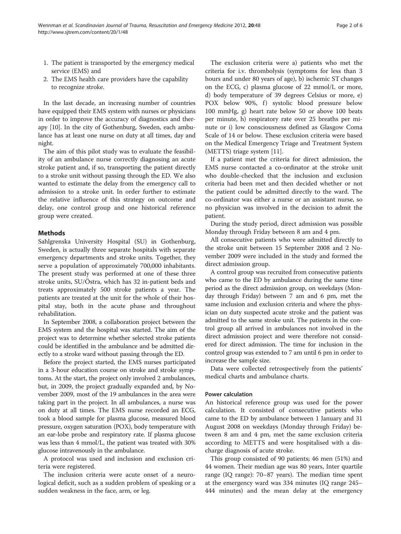- 1. The patient is transported by the emergency medical service (EMS) and
- 2. The EMS health care providers have the capability to recognize stroke.

In the last decade, an increasing number of countries have equipped their EMS system with nurses or physicians in order to improve the accuracy of diagnostics and therapy [\[10\]](#page-5-0). In the city of Gothenburg, Sweden, each ambulance has at least one nurse on duty at all times, day and night.

The aim of this pilot study was to evaluate the feasibility of an ambulance nurse correctly diagnosing an acute stroke patient and, if so, transporting the patient directly to a stroke unit without passing through the ED. We also wanted to estimate the delay from the emergency call to admission to a stroke unit. In order further to estimate the relative influence of this strategy on outcome and delay, one control group and one historical reference group were created.

# Methods

Sahlgrenska University Hospital (SU) in Gothenburg, Sweden, is actually three separate hospitals with separate emergency departments and stroke units. Together, they serve a population of approximately 700,000 inhabitants. The present study was performed at one of these three stroke units, SU/Östra, which has 32 in-patient beds and treats approximately 500 stroke patients a year. The patients are treated at the unit for the whole of their hospital stay, both in the acute phase and throughout rehabilitation.

In September 2008, a collaboration project between the EMS system and the hospital was started. The aim of the project was to determine whether selected stroke patients could be identified in the ambulance and be admitted directly to a stroke ward without passing through the ED.

Before the project started, the EMS nurses participated in a 3-hour education course on stroke and stroke symptoms. At the start, the project only involved 2 ambulances, but, in 2009, the project gradually expanded and, by November 2009, most of the 19 ambulances in the area were taking part in the project. In all ambulances, a nurse was on duty at all times. The EMS nurse recorded an ECG, took a blood sample for plasma glucose, measured blood pressure, oxygen saturation (POX), body temperature with an ear-lobe probe and respiratory rate. If plasma glucose was less than 4 mmol/L, the patient was treated with 30% glucose intravenously in the ambulance.

A protocol was used and inclusion and exclusion criteria were registered.

The inclusion criteria were acute onset of a neurological deficit, such as a sudden problem of speaking or a sudden weakness in the face, arm, or leg.

The exclusion criteria were a) patients who met the criteria for i.v. thrombolysis (symptoms for less than 3 hours and under 80 years of age), b) ischemic ST changes on the ECG, c) plasma glucose of 22 mmol/L or more, d) body temperature of 39 degrees Celsius or more, e) POX below 90%, f) systolic blood pressure below 100 mmHg, g) heart rate below 50 or above 100 beats per minute, h) respiratory rate over 25 breaths per minute or i) low consciousness defined as Glasgow Coma Scale of 14 or below. These exclusion criteria were based on the Medical Emergency Triage and Treatment System (METTS) triage system [[11\]](#page-5-0).

If a patient met the criteria for direct admission, the EMS nurse contacted a co-ordinator at the stroke unit who double-checked that the inclusion and exclusion criteria had been met and then decided whether or not the patient could be admitted directly to the ward. The co-ordinator was either a nurse or an assistant nurse, so no physician was involved in the decision to admit the patient.

During the study period, direct admission was possible Monday through Friday between 8 am and 4 pm.

All consecutive patients who were admitted directly to the stroke unit between 15 September 2008 and 2 November 2009 were included in the study and formed the direct admission group.

A control group was recruited from consecutive patients who came to the ED by ambulance during the same time period as the direct admission group, on weekdays (Monday through Friday) between 7 am and 6 pm, met the same inclusion and exclusion criteria and where the physician on duty suspected acute stroke and the patient was admitted to the same stroke unit. The patients in the control group all arrived in ambulances not involved in the direct admission project and were therefore not considered for direct admission. The time for inclusion in the control group was extended to 7 am until 6 pm in order to increase the sample size.

Data were collected retrospectively from the patients' medical charts and ambulance charts.

# Power calculation

An historical reference group was used for the power calculation. It consisted of consecutive patients who came to the ED by ambulance between 1 January and 31 August 2008 on weekdays (Monday through Friday) between 8 am and 4 pm, met the same exclusion criteria according to METTS and were hospitalised with a discharge diagnosis of acute stroke.

This group consisted of 90 patients; 46 men (51%) and 44 women. Their median age was 80 years, Inter quartile range (IQ range): 70–87 years). The median time spent at the emergency ward was 334 minutes (IQ range 245– 444 minutes) and the mean delay at the emergency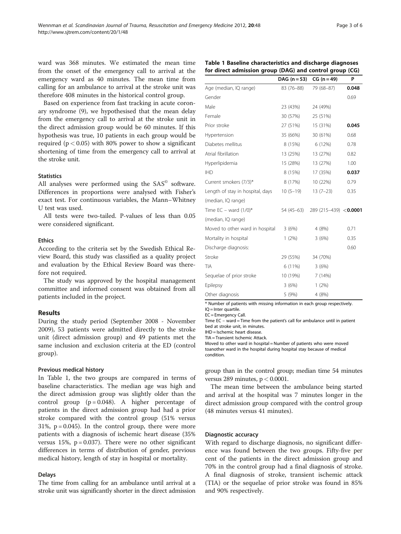ward was 368 minutes. We estimated the mean time from the onset of the emergency call to arrival at the emergency ward as 40 minutes. The mean time from calling for an ambulance to arrival at the stroke unit was therefore 408 minutes in the historical control group.

Based on experience from fast tracking in acute coronary syndrome (9), we hypothesised that the mean delay from the emergency call to arrival at the stroke unit in the direct admission group would be 60 minutes. If this hypothesis was true, 10 patients in each group would be required ( $p < 0.05$ ) with 80% power to show a significant shortening of time from the emergency call to arrival at the stroke unit.

# **Statistics**

All analyses were performed using the  $SAS^{\circledcirc}$  software. Differences in proportions were analysed with Fisher's exact test. For continuous variables, the Mann–Whitney U test was used.

All tests were two-tailed. P-values of less than 0.05 were considered significant.

# Ethics

According to the criteria set by the Swedish Ethical Review Board, this study was classified as a quality project and evaluation by the Ethical Review Board was therefore not required.

The study was approved by the hospital management committee and informed consent was obtained from all patients included in the project.

# Results

During the study period (September 2008 - November 2009), 53 patients were admitted directly to the stroke unit (direct admission group) and 49 patients met the same inclusion and exclusion criteria at the ED (control group).

# Previous medical history

In Table 1, the two groups are compared in terms of baseline characteristics. The median age was high and the direct admission group was slightly older than the control group  $(p = 0.048)$ . A higher percentage of patients in the direct admission group had had a prior stroke compared with the control group (51% versus  $31\%$ ,  $p = 0.045$ ). In the control group, there were more patients with a diagnosis of ischemic heart disease (35% versus  $15\%$ ,  $p = 0.037$ ). There were no other significant differences in terms of distribution of gender, previous medical history, length of stay in hospital or mortality.

# Delays

The time from calling for an ambulance until arrival at a stroke unit was significantly shorter in the direct admission

|  | Table 1 Baseline characteristics and discharge diagnoses |
|--|----------------------------------------------------------|
|  | for direct admission group (DAG) and control group (CG)  |

|                                  | $DAG (n=53)$ | $CG (n = 49)$         | P     |
|----------------------------------|--------------|-----------------------|-------|
| Age (median, IQ range)           | 83 (76-88)   | 79 (68-87)            | 0.048 |
| Gender                           |              |                       | 0.69  |
| Male                             | 23 (43%)     | 24 (49%)              |       |
| Female                           | 30 (57%)     | 25 (51%)              |       |
| Prior stroke                     | 27 (51%)     | 15 (31%)              | 0.045 |
| Hypertension                     | 35 (66%)     | 30 (61%)              | 0.68  |
| Diabetes mellitus                | 8 (15%)      | 6 (12%)               | 0.78  |
| Atrial fibrillation              | 13 (25%)     | 13 (27%)              | 0.82  |
| Hyperlipidemia                   | 15 (28%)     | 13 (27%)              | 1.00  |
| IHD                              | 8 (15%)      | 17 (35%)              | 0.037 |
| Current smokers (7/3)*           | 8 (17%)      | 10 (22%)              | 0.79  |
| Length of stay in hospital, days | $10(5-19)$   | $13(7-23)$            | 0.35  |
| (median, IQ range)               |              |                       |       |
| Time $EC -$ ward $(1/0)^*$       | 54 (45–63)   | 289 (215-439) <0.0001 |       |
| (median, IQ range)               |              |                       |       |
| Moved to other ward in hospital  | 3(6%)        | 4 (8%)                | 0.71  |
| Mortality in hospital            | 1(2%)        | 3(6%)                 | 0.35  |
| Discharge diagnosis:             |              |                       | 0.60  |
| Stroke                           | 29 (55%)     | 34 (70%)              |       |
| TIA                              | 6 (11%)      | 3(6%)                 |       |
| Sequelae of prior stroke         | 10 (19%)     | 7 (14%)               |       |
| Epilepsy                         | 3(6%)        | $1(2\%)$              |       |
| Other diagnosis                  | 5 (9%)       | 4 (8%)                |       |

\* Number of patients with missing information in each group respectively.  $IO =$ Inter quartile.

EC = Emergency Call.

Time EC – ward = Time from the patient's call for ambulance until in patient bed at stroke unit, in minutes.

IHD = Ischemic heart disease.

TIA = Transient Ischemic Attack.

Moved to other ward in hospital = Number of patients who were moved toanother ward in the hospital during hospital stay because of medical condition.

group than in the control group; median time 54 minutes versus 289 minutes,  $p < 0.0001$ .

The mean time between the ambulance being started and arrival at the hospital was 7 minutes longer in the direct admission group compared with the control group (48 minutes versus 41 minutes).

# Diagnostic accuracy

With regard to discharge diagnosis, no significant difference was found between the two groups. Fifty-five per cent of the patients in the direct admission group and 70% in the control group had a final diagnosis of stroke. A final diagnosis of stroke, transient ischemic attack (TIA) or the sequelae of prior stroke was found in 85% and 90% respectively.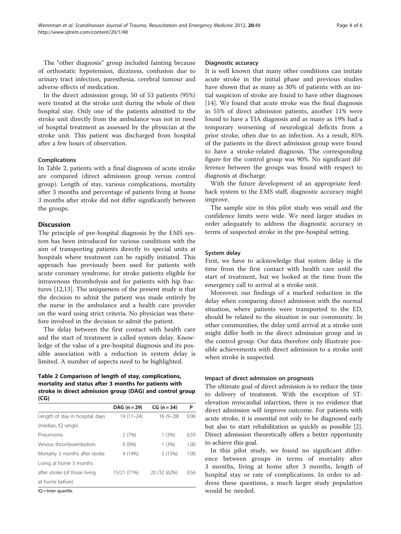The "other diagnosis" group included fainting because of orthostatic hypotension, dizziness, confusion due to urinary tract infection, paresthesia, cerebral tumour and adverse effects of medication.

In the direct admission group, 50 of 53 patients (95%) were treated at the stroke unit during the whole of their hospital stay. Only one of the patients admitted to the stroke unit directly from the ambulance was not in need of hospital treatment as assessed by the physician at the stroke unit. This patient was discharged from hospital after a few hours of observation.

# Complications

In Table 2, patients with a final diagnosis of acute stroke are compared (direct admission group versus control group). Length of stay, various complications, mortality after 3 months and percentage of patients living at home 3 months after stroke did not differ significantly between the groups.

# **Discussion**

The principle of pre-hospital diagnosis by the EMS system has been introduced for various conditions with the aim of transporting patients directly to special units at hospitals where treatment can be rapidly initiated. This approach has previously been used for patients with acute coronary syndrome, for stroke patients eligible for intravenous thrombolysis and for patients with hip fractures [\[12,13\]](#page-5-0). The uniqueness of the present study is that the decision to admit the patient was made entirely by the nurse in the ambulance and a health care provider on the ward using strict criteria. No physician was therefore involved in the decision to admit the patient.

The delay between the first contact with health care and the start of treatment is called system delay. Knowledge of the value of a pre-hospital diagnosis and its possible association with a reduction in system delay is limited. A number of aspects need to be highlighted.

# Table 2 Comparison of length of stay, complications, mortality and status after 3 months for patients with stroke in direct admission group (DAG) and control group (CG)

|                                  | DAG (n = 29)  | $CG (n = 34)$ | P    |
|----------------------------------|---------------|---------------|------|
| Length of stay in hospital, days | $19(11 - 24)$ | $16(9-28)$    | 0.96 |
| (median, IQ range)               |               |               |      |
| Pneumonia                        | 2(7%)         | 1(3%)         | 0.59 |
| Venous thromboembolism           | $0(0\%)$      | 1(3%)         | 1.00 |
| Mortality 3 months after stroke  | 4 (14%)       | 5 (15%)       | 1.00 |
| Living at home 3 months          |               |               |      |
| after stroke (of those living    | 15/21 (71%)   | 20 / 32 (62%) | 0.56 |
| at home before)                  |               |               |      |

IQ = Inter quartile.

# Diagnostic accuracy

It is well known that many other conditions can imitate acute stroke in the initial phase and previous studies have shown that as many as 30% of patients with an initial suspicion of stroke are found to have other diagnoses [[14\]](#page-5-0). We found that acute stroke was the final diagnosis in 55% of direct admission patients, another 11% were found to have a TIA diagnosis and as many as 19% had a temporary worsening of neurological deficits from a prior stroke, often due to an infection. As a result, 85% of the patients in the direct admission group were found to have a stroke-related diagnosis. The corresponding figure for the control group was 90%. No significant difference between the groups was found with respect to diagnosis at discharge.

With the future development of an appropriate feedback system to the EMS staff, diagnostic accuracy might improve.

The sample size in this pilot study was small and the confidence limits were wide. We need larger studies in order adequately to address the diagnostic accuracy in terms of suspected stroke in the pre-hospital setting.

# System delay

First, we have to acknowledge that system delay is the time from the first contact with health care until the start of treatment, but we looked at the time from the emergency call to arrival at a stroke unit.

Moreover, our findings of a marked reduction in the delay when comparing direct admission with the normal situation, where patients were transported to the ED, should be related to the situation in our community. In other communities, the delay until arrival at a stroke unit might differ both in the direct admission group and in the control group. Our data therefore only illustrate possible achievements with direct admission to a stroke unit when stroke is suspected.

# Impact of direct admission on prognosis

The ultimate goal of direct admission is to reduce the time to delivery of treatment. With the exception of STelevation myocardial infarction, there is no evidence that direct admission will improve outcome. For patients with acute stroke, it is essential not only to be diagnosed early but also to start rehabilitation as quickly as possible [[2](#page-5-0)]. Direct admission theoretically offers a better opportunity to achieve this goal.

In this pilot study, we found no significant difference between groups in terms of mortality after 3 months, living at home after 3 months, length of hospital stay or rate of complications. In order to address these questions, a much larger study population would be needed.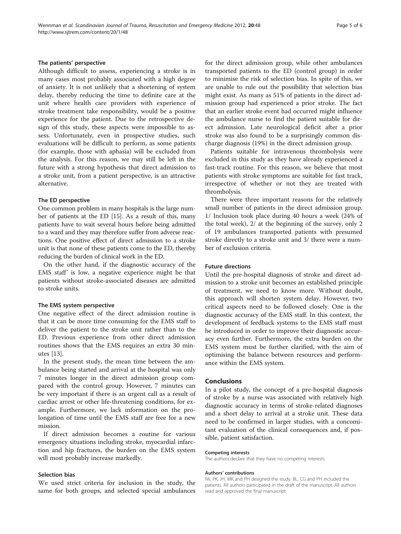# The patients' perspective

Although difficult to assess, experiencing a stroke is in many cases most probably associated with a high degree of anxiety. It is not unlikely that a shortening of system delay, thereby reducing the time to definite care at the unit where health care providers with experience of stroke treatment take responsibility, would be a positive experience for the patient. Due to the retrospective design of this study, these aspects were impossible to assess. Unfortunately, even in prospective studies, such evaluations will be difficult to perform, as some patients (for example, those with aphasia) will be excluded from the analysis. For this reason, we may still be left in the future with a strong hypothesis that direct admission to a stroke unit, from a patient perspective, is an attractive alternative.

# The ED perspective

One common problem in many hospitals is the large number of patients at the ED [\[15\]](#page-5-0). As a result of this, many patients have to wait several hours before being admitted to a ward and they may therefore suffer from adverse reactions. One positive effect of direct admission to a stroke unit is that none of these patients come to the ED, thereby reducing the burden of clinical work in the ED.

On the other hand, if the diagnostic accuracy of the EMS staff' is low, a negative experience might be that patients without stroke-associated diseases are admitted to stroke units.

#### The EMS system perspective

One negative effect of the direct admission routine is that it can be more time consuming for the EMS staff to deliver the patient to the stroke unit rather than to the ED. Previous experience from other direct admission routines shows that the EMS requires an extra 30 minutes [\[13](#page-5-0)].

In the present study, the mean time between the ambulance being started and arrival at the hospital was only 7 minutes longer in the direct admission group compared with the control group. However, 7 minutes can be very important if there is an urgent call as a result of cardiac arrest or other life-threatening conditions, for example. Furthermore, we lack information on the prolongation of time until the EMS staff are free for a new mission.

If direct admission becomes a routine for various emergency situations including stroke, myocardial infarction and hip fractures, the burden on the EMS system will most probably increase markedly.

# Selection bias

We used strict criteria for inclusion in the study, the same for both groups, and selected special ambulances for the direct admission group, while other ambulances transported patients to the ED (control group) in order to minimise the risk of selection bias. In spite of this, we are unable to rule out the possibility that selection bias might exist. As many as 51% of patients in the direct admission group had experienced a prior stroke. The fact that an earlier stroke event had occurred might influence the ambulance nurse to find the patient suitable for direct admission. Late neurological deficit after a prior stroke was also found to be a surprisingly common discharge diagnosis (19%) in the direct admission group.

Patients suitable for intravenous thrombolysis were excluded in this study as they have already experienced a fast-track routine. For this reason, we believe that most patients with stroke symptoms are suitable for fast track, irrespective of whether or not they are treated with thrombolysis.

There were three important reasons for the relatively small number of patients in the direct admission group. 1/ Inclusion took place during 40 hours a week (24% of the total week), 2/ at the beginning of the survey, only 2 of 19 ambulances transported patients with presumed stroke directly to a stroke unit and 3/ there were a number of exclusion criteria.

#### Future directions

Until the pre-hospital diagnosis of stroke and direct admission to a stroke unit becomes an established principle of treatment, we need to know more. Without doubt, this approach will shorten system delay. However, two critical aspects need to be followed closely. One is the diagnostic accuracy of the EMS staff. In this context, the development of feedback systems to the EMS staff must be introduced in order to improve their diagnostic accuracy even further. Furthermore, the extra burden on the EMS system must be further clarified, with the aim of optimising the balance between resources and performance within the EMS system.

# Conclusions

In a pilot study, the concept of a pre-hospital diagnosis of stroke by a nurse was associated with relatively high diagnostic accuracy in terms of stroke-related diagnoses and a short delay to arrival at a stroke unit. These data need to be confirmed in larger studies, with a concomitant evaluation of the clinical consequences and, if possible, patient satisfaction.

#### Competing interests

The authors declare that they have no competing interests.

#### Authors' contributions

IW, PK, JH, MK and PH designed the study. BL, CG and PH included the patients. All authors participated in the draft of the manuscript. All authors read and approved the final manuscript.